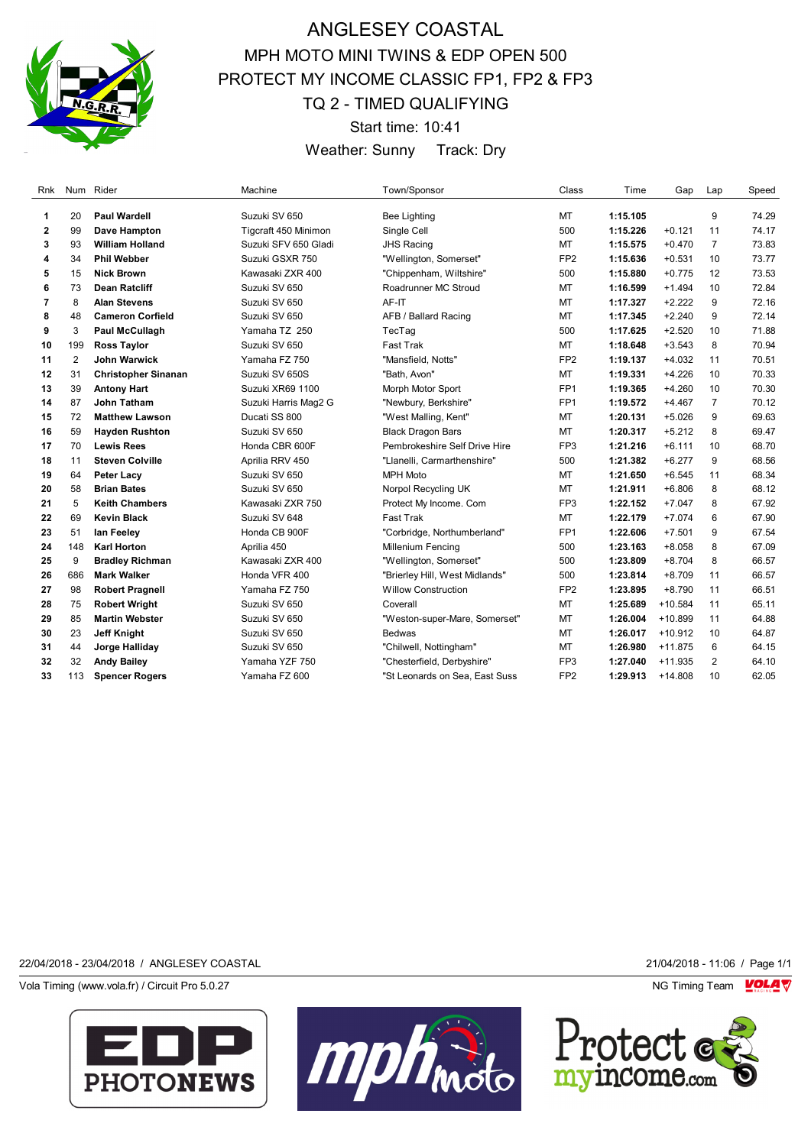

# ANGLESEY COASTAL MPH MOTO MINI TWINS & EDP OPEN 500 PROTECT MY INCOME CLASSIC FP1, FP2 & FP3 TQ 2 - TIMED QUALIFYING

Start time: 10:41

Weather: Sunny Track: Dry

| Rnk |     | Num Rider                  | Machine              | Town/Sponsor                   | Class           | Time     | Gap       | Lap            | Speed |
|-----|-----|----------------------------|----------------------|--------------------------------|-----------------|----------|-----------|----------------|-------|
| 1   | 20  | <b>Paul Wardell</b>        | Suzuki SV 650        | <b>Bee Lighting</b>            | MT              | 1:15.105 |           | 9              | 74.29 |
| 2   | 99  | Dave Hampton               | Tigcraft 450 Minimon | Single Cell                    | 500             | 1:15.226 | $+0.121$  | 11             | 74.17 |
| 3   | 93  | <b>William Holland</b>     | Suzuki SFV 650 Gladi | <b>JHS Racing</b>              | MT              | 1:15.575 | $+0.470$  | $\overline{7}$ | 73.83 |
| 4   | 34  | <b>Phil Webber</b>         | Suzuki GSXR 750      | "Wellington, Somerset"         | FP <sub>2</sub> | 1:15.636 | $+0.531$  | 10             | 73.77 |
| 5   | 15  | <b>Nick Brown</b>          | Kawasaki ZXR 400     | "Chippenham, Wiltshire"        | 500             | 1:15.880 | $+0.775$  | 12             | 73.53 |
| 6   | 73  | <b>Dean Ratcliff</b>       | Suzuki SV 650        | Roadrunner MC Stroud           | MT              | 1:16.599 | $+1.494$  | 10             | 72.84 |
| 7   | 8   | <b>Alan Stevens</b>        | Suzuki SV 650        | AF-IT                          | MT              | 1:17.327 | $+2.222$  | 9              | 72.16 |
| 8   | 48  | <b>Cameron Corfield</b>    | Suzuki SV 650        | AFB / Ballard Racing           | MT              | 1:17.345 | $+2.240$  | 9              | 72.14 |
| 9   | 3   | <b>Paul McCullagh</b>      | Yamaha TZ 250        | TecTag                         | 500             | 1:17.625 | $+2.520$  | 10             | 71.88 |
| 10  | 199 | <b>Ross Taylor</b>         | Suzuki SV 650        | <b>Fast Trak</b>               | MT              | 1:18.648 | $+3.543$  | 8              | 70.94 |
| 11  | 2   | <b>John Warwick</b>        | Yamaha FZ 750        | "Mansfield, Notts"             | FP <sub>2</sub> | 1:19.137 | $+4.032$  | 11             | 70.51 |
| 12  | 31  | <b>Christopher Sinanan</b> | Suzuki SV 650S       | "Bath, Avon"                   | MT              | 1:19.331 | $+4.226$  | 10             | 70.33 |
| 13  | 39  | <b>Antony Hart</b>         | Suzuki XR69 1100     | Morph Motor Sport              | FP <sub>1</sub> | 1:19.365 | $+4.260$  | 10             | 70.30 |
| 14  | 87  | <b>John Tatham</b>         | Suzuki Harris Mag2 G | "Newbury, Berkshire"           | FP <sub>1</sub> | 1:19.572 | $+4.467$  | $\overline{7}$ | 70.12 |
| 15  | 72  | <b>Matthew Lawson</b>      | Ducati SS 800        | "West Malling, Kent"           | MT              | 1:20.131 | $+5.026$  | 9              | 69.63 |
| 16  | 59  | <b>Hayden Rushton</b>      | Suzuki SV 650        | <b>Black Dragon Bars</b>       | MT              | 1:20.317 | $+5.212$  | 8              | 69.47 |
| 17  | 70  | <b>Lewis Rees</b>          | Honda CBR 600F       | Pembrokeshire Self Drive Hire  | FP <sub>3</sub> | 1:21.216 | $+6.111$  | 10             | 68.70 |
| 18  | 11  | <b>Steven Colville</b>     | Aprilia RRV 450      | "Llanelli, Carmarthenshire"    | 500             | 1:21.382 | $+6.277$  | 9              | 68.56 |
| 19  | 64  | <b>Peter Lacy</b>          | Suzuki SV 650        | <b>MPH Moto</b>                | MT              | 1:21.650 | $+6.545$  | 11             | 68.34 |
| 20  | 58  | <b>Brian Bates</b>         | Suzuki SV 650        | Norpol Recycling UK            | MT              | 1:21.911 | $+6.806$  | 8              | 68.12 |
| 21  | 5   | <b>Keith Chambers</b>      | Kawasaki ZXR 750     | Protect My Income. Com         | FP <sub>3</sub> | 1:22.152 | $+7.047$  | 8              | 67.92 |
| 22  | 69  | <b>Kevin Black</b>         | Suzuki SV 648        | <b>Fast Trak</b>               | MT              | 1:22.179 | $+7.074$  | 6              | 67.90 |
| 23  | 51  | lan Feeley                 | Honda CB 900F        | "Corbridge, Northumberland"    | FP <sub>1</sub> | 1:22.606 | $+7.501$  | 9              | 67.54 |
| 24  | 148 | <b>Karl Horton</b>         | Aprilia 450          | Millenium Fencing              | 500             | 1:23.163 | $+8.058$  | 8              | 67.09 |
| 25  | 9   | <b>Bradley Richman</b>     | Kawasaki ZXR 400     | "Wellington, Somerset"         | 500             | 1:23.809 | $+8.704$  | 8              | 66.57 |
| 26  | 686 | <b>Mark Walker</b>         | Honda VFR 400        | "Brierley Hill, West Midlands" | 500             | 1:23.814 | $+8.709$  | 11             | 66.57 |
| 27  | 98  | <b>Robert Pragnell</b>     | Yamaha FZ 750        | <b>Willow Construction</b>     | FP <sub>2</sub> | 1:23.895 | $+8.790$  | 11             | 66.51 |
| 28  | 75  | <b>Robert Wright</b>       | Suzuki SV 650        | Coverall                       | MT              | 1:25.689 | $+10.584$ | 11             | 65.11 |
| 29  | 85  | <b>Martin Webster</b>      | Suzuki SV 650        | "Weston-super-Mare, Somerset"  | MT              | 1:26.004 | +10.899   | 11             | 64.88 |
| 30  | 23  | Jeff Knight                | Suzuki SV 650        | <b>Bedwas</b>                  | MT              | 1:26.017 | $+10.912$ | 10             | 64.87 |
| 31  | 44  | Jorge Halliday             | Suzuki SV 650        | "Chilwell, Nottingham"         | MT              | 1:26.980 | $+11.875$ | 6              | 64.15 |
| 32  | 32  | <b>Andy Bailey</b>         | Yamaha YZF 750       | "Chesterfield, Derbyshire"     | FP <sub>3</sub> | 1:27.040 | $+11.935$ | 2              | 64.10 |
| 33  | 113 | <b>Spencer Rogers</b>      | Yamaha FZ 600        | "St Leonards on Sea, East Suss | FP <sub>2</sub> | 1:29.913 | $+14.808$ | 10             | 62.05 |

22/04/2018 - 23/04/2018 / ANGLESEY COASTAL 21/04/2018 - 11:06 / Page 1/1

Vola Timing (www.vola.fr) / Circuit Pro 5.0.27 **NG Timing Team MOLA View Area** NG Timing Team MOLA View Area NG Timing Team MOLA View Area NG Timing Team MOLA View Area NG Timing Team MOLA View Area NG Timing Team MOLA Vie





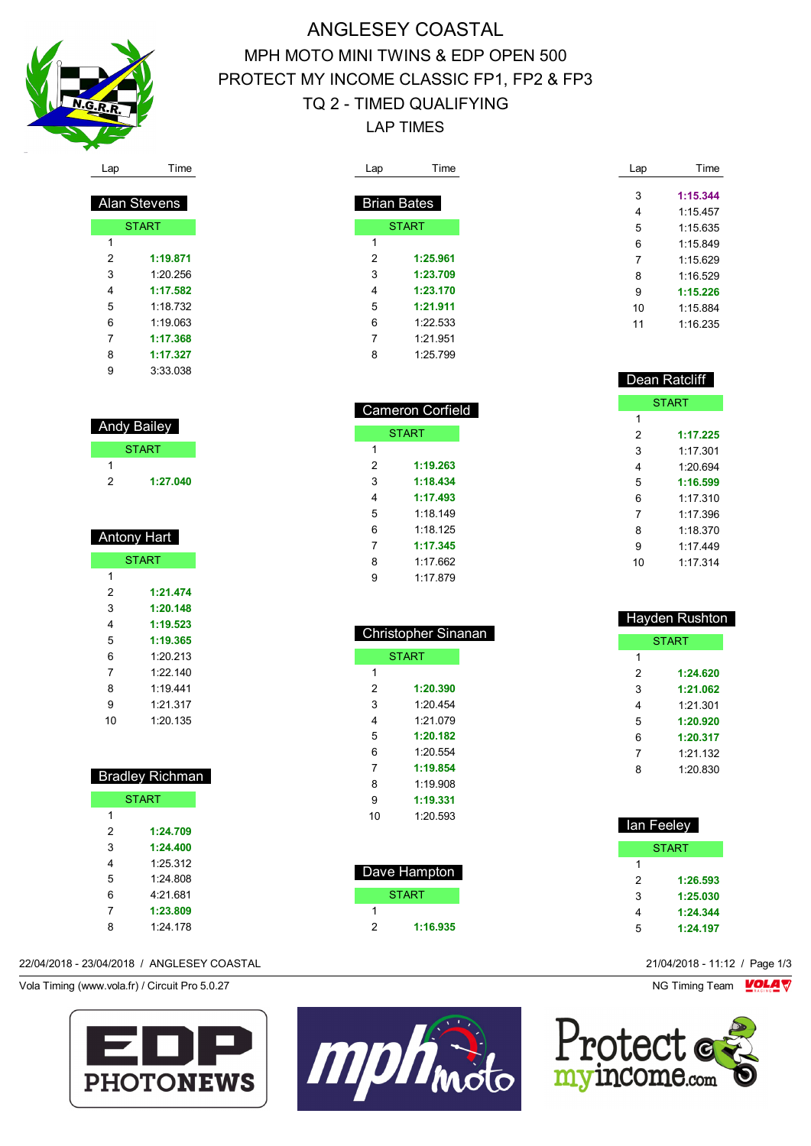

# ANGLESEY COASTAL MPH MOTO MINI TWINS & EDP OPEN 500 PROTECT MY INCOME CLASSIC FP1, FP2 & FP3 TQ 2 - TIMED QUALIFYING LAP TIMES

 Cameron Corfield **START** 

 **1:19.263 1:18.434 1:17.493** 1:18.149 1:18.125 **1:17.345** 1:17.662 1:17.879

 Christopher Sinanan **START** 

 **1:20.390** 1:20.454 1:21.079 **1:20.182** 1:20.554 **1:19.854** 1:19.908 **1:19.331** 1:20.593

| Lap | Time               | Lap |
|-----|--------------------|-----|
|     |                    |     |
|     | <b>Brian Bates</b> | 3   |
|     |                    | 4   |
|     | <b>START</b>       | 5   |
| 1   |                    | 6   |
| 2   | 1:25.961           | 7   |
| 3   | 1:23.709           | 8   |
| 4   | 1:23.170           | 9   |
| 5   | 1:21.911           | 10  |
| 6   | 1:22.533           | 11  |
| 7   | 1:21.951           |     |
| 8   | 1:25.799           |     |

|    | Dean Ratcliff |
|----|---------------|
|    | <b>START</b>  |
| 1  |               |
| 2  | 1:17.225      |
| 3  | 1.17.301      |
| 4  | 1.20694       |
| 5  | 1:16.599      |
| 6  | 1.17.310      |
| 7  | 1.17 396      |
| 8  | 1:18.370      |
| 9  | 1.17449       |
| 10 | 1:17.314      |

Time

 **1:15.344** 1:15.457 1:15.635 1:15.849 1:15.629 1:16.529 **1:15.226** 1:15.884 1:16.235

| <b>Hayden Rushton</b> |              |  |  |  |  |
|-----------------------|--------------|--|--|--|--|
|                       | <b>START</b> |  |  |  |  |
| 1                     |              |  |  |  |  |
| 2                     | 1:24.620     |  |  |  |  |
| 3                     | 1:21.062     |  |  |  |  |
| 4                     | 1:21.301     |  |  |  |  |
| 5                     | 1:20.920     |  |  |  |  |
| 6                     | 1:20.317     |  |  |  |  |
| 7                     | 1:21.132     |  |  |  |  |
| 8                     | 1:20.830     |  |  |  |  |
|                       |              |  |  |  |  |

| lan Feeley   |          |  |  |
|--------------|----------|--|--|
| <b>START</b> |          |  |  |
| 1            |          |  |  |
| 2            | 1:26.593 |  |  |
| 3            | 1:25.030 |  |  |
| 4            | 1:24.344 |  |  |
| 5            | 1:24.197 |  |  |



| ⊶ |
|---|
|   |

| Alan Stevens |          |  |  |  |
|--------------|----------|--|--|--|
| <b>START</b> |          |  |  |  |
| 1            |          |  |  |  |
| 2            | 1:19.871 |  |  |  |
| 3            | 1.20.256 |  |  |  |
| 4            | 1:17.582 |  |  |  |
| 5            | 1.18 732 |  |  |  |
| 6            | 1:19 063 |  |  |  |
| 7            | 1:17.368 |  |  |  |
| 8            | 1:17.327 |  |  |  |
| 9            | 3:33.038 |  |  |  |

| <b>Andy Bailey</b> |              |  |  |
|--------------------|--------------|--|--|
|                    | <b>START</b> |  |  |
|                    |              |  |  |
| 2                  | 1:27.040     |  |  |

| Antony Hart  |          |  |  |
|--------------|----------|--|--|
| <b>START</b> |          |  |  |
| 1            |          |  |  |
| 2            | 1:21.474 |  |  |
| 3            | 1:20.148 |  |  |
| 4            | 1:19.523 |  |  |
| 5            | 1:19.365 |  |  |
| 6            | 1:20.213 |  |  |
| 7            | 1.22.140 |  |  |
| 8            | 1:19.441 |  |  |
| 9            | 1.21.317 |  |  |
| 10           | 1:20.135 |  |  |

| <b>Bradley Richman</b> |              |  |  |
|------------------------|--------------|--|--|
|                        | <b>START</b> |  |  |
| 1                      |              |  |  |
| 2                      | 1:24.709     |  |  |
| 3                      | 1:24.400     |  |  |
| 4                      | 1.25.312     |  |  |
| 5                      | 1.24 808     |  |  |
| 6                      | 4.21.681     |  |  |
| 7                      | 1:23.809     |  |  |
| 8                      | 1.24 178     |  |  |

## 22/04/2018 - 23/04/2018 / ANGLESEY COASTAL 21/04/2018 - 11:12 / Page 1/3

Vola Timing (www.vola.fr) / Circuit Pro 5.0.27 NG Timing Team VOLA V





 Dave Hampton **START** 

**1:16.935**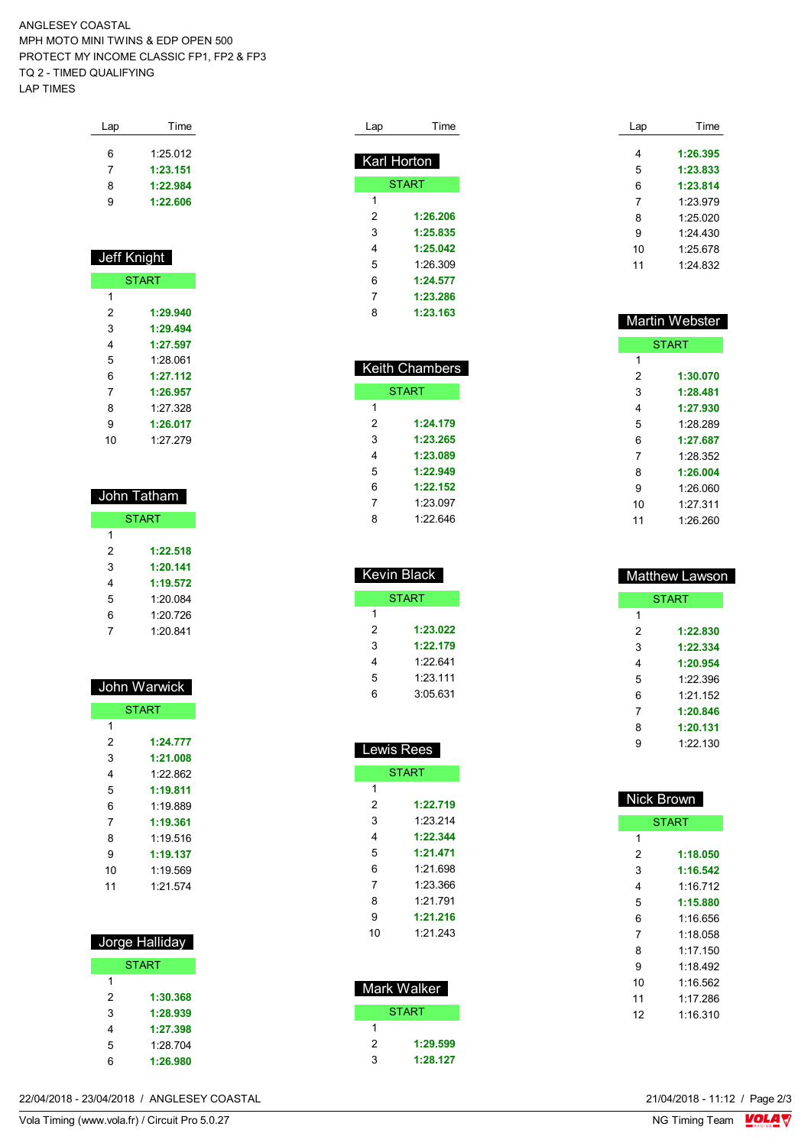ANGLESEY COASTAL MPH MOTO MINI TWINS & EDP OPEN 500 PROTECT MY INCOME CLASSIC FP1, FP2 & FP3 TQ 2 - TIMED QUALIFYING LAP TIMES

| Lap | Time     |
|-----|----------|
| 6   | 1:25.012 |
| 7   | 1:23.151 |
| 8   | 1:22.984 |
| g   | 1:22.606 |
|     |          |

### Jeff Knight **START 1:29.940 1:29.494 1:27.597** 1:28.061 **1:27.112 1:26.957** 1:27.328 **1:26.017** 1:27.279

| John Tatham  |          |  |  |  |
|--------------|----------|--|--|--|
| <b>START</b> |          |  |  |  |
| 1            |          |  |  |  |
| 2            | 1:22.518 |  |  |  |
| 3            | 1:20.141 |  |  |  |
| 4            | 1:19.572 |  |  |  |
| 5            | 1:20.084 |  |  |  |
| 6            | 1:20.726 |  |  |  |
| 7            | 1:20.841 |  |  |  |

| John Warwick |              |  |
|--------------|--------------|--|
|              | <b>START</b> |  |
| 1            |              |  |
| 2            | 1:24.777     |  |
| 3            | 1:21.008     |  |
| 4            | 1.22.862     |  |
| 5            | 1:19.811     |  |
| 6            | 1.19889      |  |
| 7            | 1:19.361     |  |
| 8            | 1:19.516     |  |
| 9            | 1:19.137     |  |
| 10           | 1.19569      |  |
| 11           | 1.21.574     |  |
|              |              |  |

| Jorge Halliday |              |
|----------------|--------------|
|                | <b>START</b> |
| 1              |              |
| 2              | 1:30.368     |
| 3              | 1:28.939     |
| 4              | 1:27.398     |
| 5              | 1.28 704     |
| 6              | 1:26.980     |

| Lap         | Time         |
|-------------|--------------|
| Karl Horton |              |
|             | <b>START</b> |
| 1           |              |
| 2           | 1:26.206     |
| 3           | 1:25.835     |
| 4           | 1:25.042     |
| 5           | 1.26309      |
| 6           | 1:24.577     |
| 7           | 1:23.286     |
| 8           | 1:23.163     |

|   | <b>Keith Chambers</b> |
|---|-----------------------|
|   | <b>START</b>          |
| 1 |                       |
| 2 | 1:24.179              |
| 3 | 1:23.265              |
| 4 | 1:23.089              |
| 5 | 1:22.949              |
| 6 | 1:22.152              |
| 7 | 1:23.097              |
| ጸ | 1.22 646              |

| Kevin Black  |  |
|--------------|--|
| <b>START</b> |  |
|              |  |
| 1:23.022     |  |
| 1:22.179     |  |
| 1.22.641     |  |
| 1:23:111     |  |
| 3:05631      |  |
|              |  |

| Lewis Rees |              |
|------------|--------------|
|            | <b>START</b> |
| 1          |              |
| 2          | 1:22.719     |
| 3          | 1.23.214     |
| 4          | 1:22.344     |
| 5          | 1:21.471     |
| 6          | 1.21 698     |
| 7          | 1:23.366     |
| 8          | 1.21 791     |
| 9          | 1:21.216     |
| 10         | 1.21.243     |
|            |              |

| Mark Walker |              |
|-------------|--------------|
|             | <b>START</b> |
|             |              |
| 2           | 1:29.599     |
| 3           | 1:28.127     |

| Lap | Time       |
|-----|------------|
|     |            |
| 4   | 1:26.395   |
| 5   | 1:23.833   |
| 6   | 1:23.814   |
| 7   | 1:23.979   |
| 8   | 1.25 020   |
| 9   | 1:24 430   |
| 10  | 1.25678    |
| 11  | $1.24$ 832 |
|     |            |

|    | <b>Martin Webster</b> |
|----|-----------------------|
|    | <b>START</b>          |
| 1  |                       |
| 2  | 1:30.070              |
| 3  | 1:28.481              |
| 4  | 1:27.930              |
| 5  | 1.28.289              |
| 6  | 1:27.687              |
| 7  | 1.28.352              |
| 8  | 1:26.004              |
| 9  | 1:26.060              |
| 10 | 1.27 311              |
| 11 | 1.26.260              |

| <b>START</b><br>1<br>2<br>1:22.830<br>3<br>1:22.334<br>4<br>1:20.954<br>5<br>1.22.396<br>6<br>1.21 152 | <b>Matthew Lawson</b> |  |
|--------------------------------------------------------------------------------------------------------|-----------------------|--|
|                                                                                                        |                       |  |
|                                                                                                        |                       |  |
|                                                                                                        |                       |  |
|                                                                                                        |                       |  |
|                                                                                                        |                       |  |
|                                                                                                        |                       |  |
|                                                                                                        |                       |  |
| 1:20.846<br>7                                                                                          |                       |  |
| 1:20.131<br>8                                                                                          |                       |  |
| 1:22 130<br>g                                                                                          |                       |  |

| <b>Nick Brown</b> |          |
|-------------------|----------|
| <b>START</b>      |          |
| 1                 |          |
| 2                 | 1:18.050 |
| 3                 | 1:16.542 |
| 4                 | 1.16 712 |
| 5                 | 1:15.880 |
| 6                 | 1:16 656 |
| 7                 | 1:18 058 |
| 8                 | 1.17150  |
| 9                 | 1.18492  |
| 10                | 1:16.562 |
| 11                | 1.17 286 |
| 12                | 1.16.310 |
|                   |          |

22/04/2018 - 23/04/2018 / ANGLESEY COASTAL

Vola Timing (www.vola.fr) / Circuit Pro 5.0.27